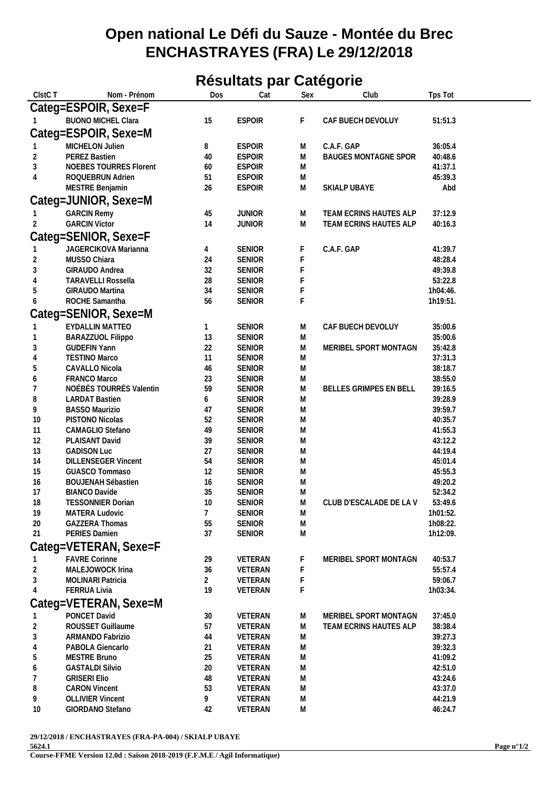## **Open national Le Défi du Sauze - Montée du Brec ENCHASTRAYES (FRA) Le 29/12/2018**

## **Résultats par Catégorie**

| ClstC T        | Nom - Prénom                                      | Dos            | Cat                            | Sex            | Club                        | Tps Tot            |
|----------------|---------------------------------------------------|----------------|--------------------------------|----------------|-----------------------------|--------------------|
|                | Categ=ESPOIR, Sexe=F                              |                |                                |                |                             |                    |
|                | <b>BUONO MICHEL Clara</b>                         | 15             | <b>ESPOIR</b>                  | F.             | CAF BUECH DEVOLUY           | 51:51.3            |
|                |                                                   |                |                                |                |                             |                    |
|                | Categ=ESPOIR, Sexe=M                              |                |                                |                |                             |                    |
|                | MICHELON Julien                                   | 8              | <b>ESPOIR</b>                  | M              | C.A.F. GAP                  | 36:05.4            |
| 2              | PEREZ Bastien                                     | 40             | <b>ESPOIR</b>                  | M              | <b>BAUGES MONTAGNE SPOR</b> | 40:48.6            |
| $\sqrt{3}$     | NOEBES TOURRES Florent                            | 60             | <b>ESPOIR</b>                  | M              |                             | 41:37.1            |
| $\overline{4}$ | ROQUEBRUN Adrien                                  | 51             | <b>ESPOIR</b>                  | M              |                             | 45:39.3            |
|                | MESTRE Benjamin                                   | 26             | <b>ESPOIR</b>                  | M              | SKIALP UBAYE                | Abd                |
|                | Categ=JUNIOR, Sexe=M                              |                |                                |                |                             |                    |
|                | <b>GARCIN Remy</b>                                | 45             | <b>JUNIOR</b>                  | M              | TEAM ECRINS HAUTES ALP      | 37:12.9            |
| $\overline{2}$ | <b>GARCIN Victor</b>                              | 14             | <b>JUNIOR</b>                  | M              | TEAM ECRINS HAUTES ALP      | 40:16.3            |
|                | Categ=SENIOR, Sexe=F                              |                |                                |                |                             |                    |
|                | JAGERCIKOVA Marianna                              | 4              | <b>SENIOR</b>                  | F              | C.A.F. GAP                  | 41:39.7            |
| 2              | MUSSO Chiara                                      | 24             | <b>SENIOR</b>                  | F              |                             | 48:28.4            |
| 3              | GIRAUDO Andrea                                    | 32             | <b>SENIOR</b>                  | F              |                             | 49:39.8            |
| 4              | <b>TARAVELLI Rossella</b>                         | 28             | <b>SENIOR</b>                  |                |                             | 53:22.8            |
| 5              | GIRAUDO Martina                                   | 34             | <b>SENIOR</b>                  |                |                             | 1h04:46.           |
| 6              | ROCHE Samantha                                    | 56             | <b>SENIOR</b>                  | F              |                             | 1h19:51.           |
|                |                                                   |                |                                |                |                             |                    |
|                | Categ=SENIOR, Sexe=M                              |                |                                |                |                             |                    |
|                | EYDALLIN MATTEO                                   | 1              | <b>SENIOR</b>                  | M              | CAF BUECH DEVOLUY           | 35:00.6            |
|                | BARAZZUOL Filippo                                 | 13             | <b>SENIOR</b>                  | M              |                             | 35:00.6            |
| 3              | <b>GUDEFIN Yann</b>                               | 22             | SENIOR                         | M              | MERIBEL SPORT MONTAGN       | 35:42.8            |
| 4              | <b>TESTINO Marco</b>                              | 11             | <b>SENIOR</b>                  | ${\sf M}$      |                             | 37:31.3            |
| 5              | CAVALLO Nicola                                    | 46             | <b>SENIOR</b>                  | M              |                             | 38:18.7            |
| 6              | FRANCO Marco                                      | 23             | <b>SENIOR</b>                  | M              |                             | 38:55.0            |
| 7              | NOÉBÈS TOURRÈS Valentin                           | 59             | <b>SENIOR</b>                  | M              | BELLES GRIMPES EN BELL      | 39:16.5            |
| 8              | <b>LARDAT Bastien</b>                             | 6              | <b>SENIOR</b>                  | M              |                             | 39:28.9            |
| 9              | <b>BASSO Maurizio</b>                             | 47             | <b>SENIOR</b>                  | M              |                             | 39:59.7            |
| 10             | PISTONO Nicolas                                   | 52             | <b>SENIOR</b>                  | ${\sf M}$      |                             | 40:35.7            |
| 11             | CAMAGLIO Stefano                                  | 49             | <b>SENIOR</b>                  | M              |                             | 41:55.3            |
| 12             | PLAISANT David                                    | 39             | <b>SENIOR</b>                  | M              |                             | 43:12.2            |
| 13             | <b>GADISON Luc</b>                                | 27             | <b>SENIOR</b>                  | M              |                             | 44:19.4            |
| 14<br>15       | <b>DILLENSEGER Vincent</b>                        | 54<br>12       | <b>SENIOR</b>                  | ${\sf M}$      |                             | 45:01.4<br>45:55.3 |
| 16             | GUASCO Tommaso                                    | 16             | <b>SENIOR</b>                  | M<br>${\sf M}$ |                             | 49:20.2            |
| 17             | <b>BOUJENAH Sébastien</b><br><b>BIANCO Davide</b> | 35             | <b>SENIOR</b><br><b>SENIOR</b> | M              |                             | 52:34.2            |
| 18             | <b>TESSONNIER Dorian</b>                          | 10             | <b>SENIOR</b>                  | M              | CLUB D'ESCALADE DE LA V     | 53:49.6            |
| 19             | MATERA Ludovic                                    | 7              | <b>SENIOR</b>                  | M              |                             | 1h01:52.           |
| 20             | <b>GAZZERA Thomas</b>                             | 55             | <b>SENIOR</b>                  | Μ              |                             | 1h08:22.           |
| 21             | PERIES Damien                                     | 37             | <b>SENIOR</b>                  | Μ              |                             | 1h12:09.           |
|                |                                                   |                |                                |                |                             |                    |
|                | Categ=VETERAN, Sexe=F                             |                |                                |                |                             |                    |
|                | <b>FAVRE Corinne</b>                              | 29             | VETERAN                        | F              | MERIBEL SPORT MONTAGN       | 40:53.7            |
| 2              | MALEJOWOCK Irina                                  | 36             | VETERAN                        | F              |                             | 55:57.4            |
| 3              | <b>MOLINARI Patricia</b>                          | $\overline{a}$ | VETERAN                        | F              |                             | 59:06.7            |
|                | FERRUA Livia                                      | 19             | VETERAN                        | F              |                             | 1h03:34.           |
|                | Categ=VETERAN, Sexe=M                             |                |                                |                |                             |                    |
|                | PONCET David                                      | 30             | VETERAN                        | M              | MERIBEL SPORT MONTAGN       | 37:45.0            |
| 2              | ROUSSET Guillaume                                 | 57             | VETERAN                        | M              | TEAM ECRINS HAUTES ALP      | 38:38.4            |
| 3              | ARMANDO Fabrizio                                  | 44             | VETERAN                        | M              |                             | 39:27.3            |
| 4              | PABOLA Giencarlo                                  | 21             | VETERAN                        | M              |                             | 39:32.3            |
| 5              | <b>MESTRE Bruno</b>                               | 25             | VETERAN                        | M              |                             | 41:09.2            |
| 6              | <b>GASTALDI Silvio</b>                            | 20             | VETERAN                        | Μ              |                             | 42:51.0            |
| 7              | <b>GRISERI Elio</b>                               | 48             | VETERAN                        | M              |                             | 43:24.6            |
| 8              | <b>CARON Vincent</b>                              | 53             | VETERAN                        | M              |                             | 43:37.0            |
| 9              | <b>OLLIVIER Vincent</b>                           | 9              | VETERAN                        | M              |                             | 44:21.9            |
| 10             | GIORDANO Stefano                                  | 42             | VETERAN                        | M              |                             | 46:24.7            |
|                |                                                   |                |                                |                |                             |                    |

**29/12/2018 / ENCHASTRAYES (FRA-PA-004) / SKIALP UBAYE**